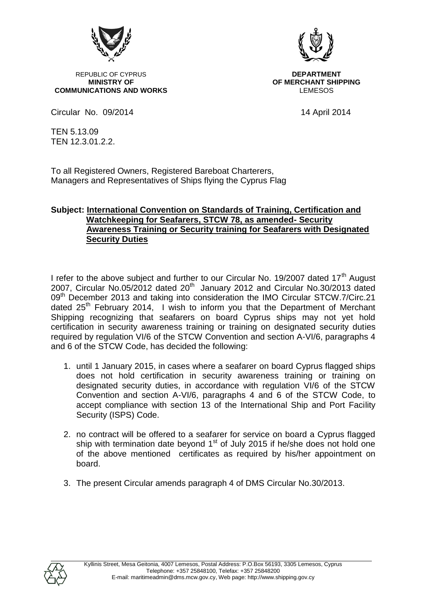

REPUBLIC OF CYPRUS **DEPARTMENT**<br>MINISTRY OF **DEPARTMENT COMMUNICATIONS AND WORKS** 



**OF MERCHANT SHIPPING**<br>LEMESOS

Circular No. 09/2014 14 April 2014

TEN 5.13.09 TEN 12.3.01.2.2.

To all Registered Owners, Registered Bareboat Charterers, Managers and Representatives of Ships flying the Cyprus Flag

## **Subject: International Convention on Standards of Training, Certification and Watchkeeping for Seafarers, STCW 78, as amended- Security Awareness Training or Security training for Seafarers with Designated Security Duties**

I refer to the above subject and further to our Circular No. 19/2007 dated 17<sup>th</sup> August 2007, Circular No.05/2012 dated  $20<sup>th</sup>$  January 2012 and Circular No.30/2013 dated 09<sup>th</sup> December 2013 and taking into consideration the IMO Circular STCW.7/Circ.21 dated  $25<sup>th</sup>$  February 2014, I wish to inform you that the Department of Merchant Shipping recognizing that seafarers on board Cyprus ships may not yet hold certification in security awareness training or training on designated security duties required by regulation VI/6 of the STCW Convention and section A-VI/6, paragraphs 4 and 6 of the STCW Code, has decided the following:

- 1. until 1 January 2015, in cases where a seafarer on board Cyprus flagged ships does not hold certification in security awareness training or training on designated security duties, in accordance with regulation VI/6 of the STCW Convention and section A-VI/6, paragraphs 4 and 6 of the STCW Code, to accept compliance with section 13 of the International Ship and Port Facility Security (ISPS) Code.
- 2. no contract will be offered to a seafarer for service on board a Cyprus flagged ship with termination date beyond  $1<sup>st</sup>$  of July 2015 if he/she does not hold one of the above mentioned certificates as required by his/her appointment on board.
- 3. The present Circular amends paragraph 4 of DMS Circular No.30/2013.